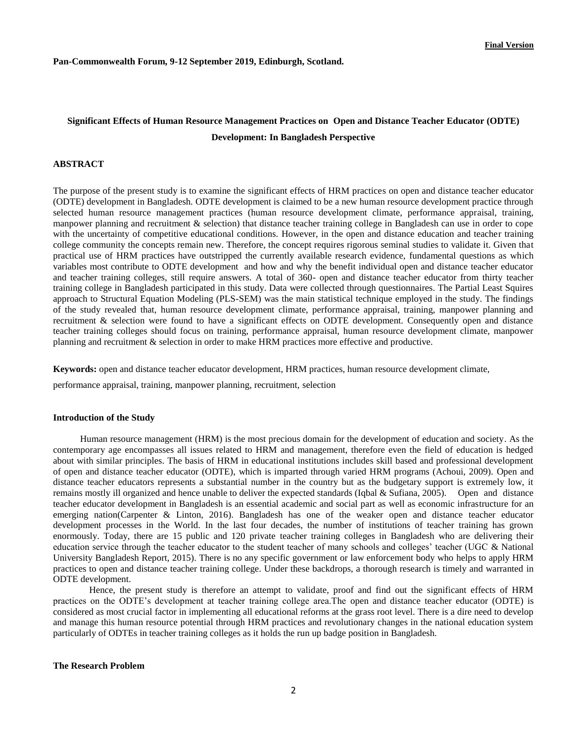**Pan-Commonwealth Forum, 9-12 September 2019, Edinburgh, Scotland.**

# **Significant Effects of Human Resource Management Practices on Open and Distance Teacher Educator (ODTE) Development: In Bangladesh Perspective**

# **ABSTRACT**

The purpose of the present study is to examine the significant effects of HRM practices on open and distance teacher educator (ODTE) development in Bangladesh. ODTE development is claimed to be a new human resource development practice through selected human resource management practices (human resource development climate, performance appraisal, training, manpower planning and recruitment & selection) that distance teacher training college in Bangladesh can use in order to cope with the uncertainty of competitive educational conditions. However, in the open and distance education and teacher training college community the concepts remain new. Therefore, the concept requires rigorous seminal studies to validate it. Given that practical use of HRM practices have outstripped the currently available research evidence, fundamental questions as which variables most contribute to ODTE development and how and why the benefit individual open and distance teacher educator and teacher training colleges, still require answers. A total of 360- open and distance teacher educator from thirty teacher training college in Bangladesh participated in this study. Data were collected through questionnaires. The Partial Least Squires approach to Structural Equation Modeling (PLS-SEM) was the main statistical technique employed in the study. The findings of the study revealed that, human resource development climate, performance appraisal, training, manpower planning and recruitment & selection were found to have a significant effects on ODTE development. Consequently open and distance teacher training colleges should focus on training, performance appraisal, human resource development climate, manpower planning and recruitment & selection in order to make HRM practices more effective and productive.

**Keywords:** open and distance teacher educator development, HRM practices, human resource development climate,

performance appraisal, training, manpower planning, recruitment, selection

#### **Introduction of the Study**

Human resource management (HRM) is the most precious domain for the development of education and society. As the contemporary age encompasses all issues related to HRM and management, therefore even the field of education is hedged about with similar principles. The basis of HRM in educational institutions includes skill based and professional development of open and distance teacher educator (ODTE), which is imparted through varied HRM programs (Achoui, 2009). Open and distance teacher educators represents a substantial number in the country but as the budgetary support is extremely low, it remains mostly ill organized and hence unable to deliver the expected standards (Iqbal & Sufiana, 2005). Open and distance teacher educator development in Bangladesh is an essential academic and social part as well as economic infrastructure for an emerging nation(Carpenter & Linton, 2016). Bangladesh has one of the weaker open and distance teacher educator development processes in the World. In the last four decades, the number of institutions of teacher training has grown enormously. Today, there are 15 public and 120 private teacher training colleges in Bangladesh who are delivering their education service through the teacher educator to the student teacher of many schools and colleges' teacher (UGC & National University Bangladesh Report, 2015). There is no any specific government or law enforcement body who helps to apply HRM practices to open and distance teacher training college. Under these backdrops, a thorough research is timely and warranted in ODTE development.

Hence, the present study is therefore an attempt to validate, proof and find out the significant effects of HRM practices on the ODTE's development at teacher training college area.The open and distance teacher educator (ODTE) is considered as most crucial factor in implementing all educational reforms at the grass root level. There is a dire need to develop and manage this human resource potential through HRM practices and revolutionary changes in the national education system particularly of ODTEs in teacher training colleges as it holds the run up badge position in Bangladesh.

#### **The Research Problem**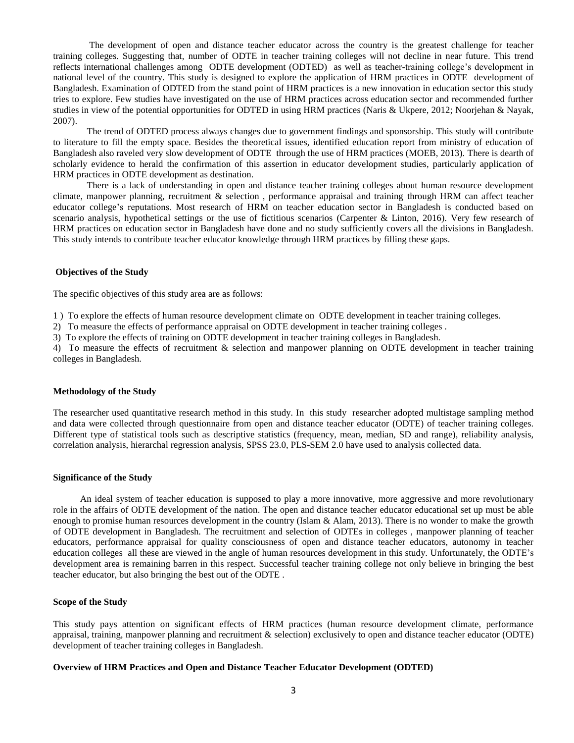The development of open and distance teacher educator across the country is the greatest challenge for teacher training colleges. Suggesting that, number of ODTE in teacher training colleges will not decline in near future. This trend reflects international challenges among ODTE development (ODTED) as well as teacher-training college's development in national level of the country. This study is designed to explore the application of HRM practices in ODTE development of Bangladesh. Examination of ODTED from the stand point of HRM practices is a new innovation in education sector this study tries to explore. Few studies have investigated on the use of HRM practices across education sector and recommended further studies in view of the potential opportunities for ODTED in using HRM practices (Naris & Ukpere, 2012; Noorjehan & Nayak, 2007).

The trend of ODTED process always changes due to government findings and sponsorship. This study will contribute to literature to fill the empty space. Besides the theoretical issues, identified education report from ministry of education of Bangladesh also raveled very slow development of ODTE through the use of HRM practices (MOEB, 2013). There is dearth of scholarly evidence to herald the confirmation of this assertion in educator development studies, particularly application of HRM practices in ODTE development as destination.

There is a lack of understanding in open and distance teacher training colleges about human resource development climate, manpower planning, recruitment & selection , performance appraisal and training through HRM can affect teacher educator college's reputations. Most research of HRM on teacher education sector in Bangladesh is conducted based on scenario analysis, hypothetical settings or the use of fictitious scenarios (Carpenter & Linton, 2016). Very few research of HRM practices on education sector in Bangladesh have done and no study sufficiently covers all the divisions in Bangladesh. This study intends to contribute teacher educator knowledge through HRM practices by filling these gaps.

## **Objectives of the Study**

The specific objectives of this study area are as follows:

1 ) To explore the effects of human resource development climate on ODTE development in teacher training colleges.

2) To measure the effects of performance appraisal on ODTE development in teacher training colleges .

3) To explore the effects of training on ODTE development in teacher training colleges in Bangladesh.

4) To measure the effects of recruitment & selection and manpower planning on ODTE development in teacher training colleges in Bangladesh.

## **Methodology of the Study**

The researcher used quantitative research method in this study. In this study researcher adopted multistage sampling method and data were collected through questionnaire from open and distance teacher educator (ODTE) of teacher training colleges. Different type of statistical tools such as descriptive statistics (frequency, mean, median, SD and range), reliability analysis, correlation analysis, hierarchal regression analysis, SPSS 23.0, PLS-SEM 2.0 have used to analysis collected data.

## **Significance of the Study**

An ideal system of teacher education is supposed to play a more innovative, more aggressive and more revolutionary role in the affairs of ODTE development of the nation. The open and distance teacher educator educational set up must be able enough to promise human resources development in the country (Islam & Alam, 2013). There is no wonder to make the growth of ODTE development in Bangladesh. The recruitment and selection of ODTEs in colleges , manpower planning of teacher educators, performance appraisal for quality consciousness of open and distance teacher educators, autonomy in teacher education colleges all these are viewed in the angle of human resources development in this study. Unfortunately, the ODTE's development area is remaining barren in this respect. Successful teacher training college not only believe in bringing the best teacher educator, but also bringing the best out of the ODTE .

## **Scope of the Study**

This study pays attention on significant effects of HRM practices (human resource development climate, performance appraisal, training, manpower planning and recruitment & selection) exclusively to open and distance teacher educator (ODTE) development of teacher training colleges in Bangladesh.

## **Overview of HRM Practices and Open and Distance Teacher Educator Development (ODTED)**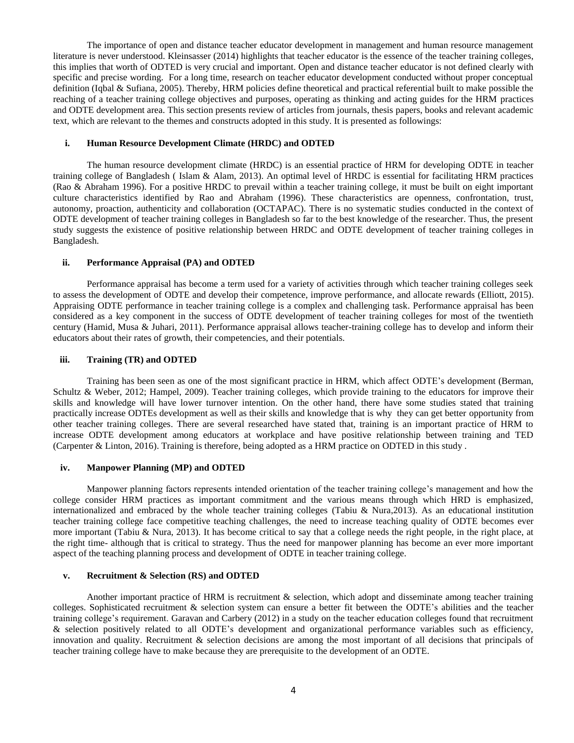The importance of open and distance teacher educator development in management and human resource management literature is never understood. Kleinsasser (2014) highlights that teacher educator is the essence of the teacher training colleges, this implies that worth of ODTED is very crucial and important. Open and distance teacher educator is not defined clearly with specific and precise wording. For a long time, research on teacher educator development conducted without proper conceptual definition (Iqbal & Sufiana, 2005). Thereby, HRM policies define theoretical and practical referential built to make possible the reaching of a teacher training college objectives and purposes, operating as thinking and acting guides for the HRM practices and ODTE development area. This section presents review of articles from journals, thesis papers, books and relevant academic text, which are relevant to the themes and constructs adopted in this study. It is presented as followings:

### **i. Human Resource Development Climate (HRDC) and ODTED**

The human resource development climate (HRDC) is an essential practice of HRM for developing ODTE in teacher training college of Bangladesh ( Islam & Alam, 2013). An optimal level of HRDC is essential for facilitating HRM practices (Rao & Abraham 1996). For a positive HRDC to prevail within a teacher training college, it must be built on eight important culture characteristics identified by Rao and Abraham (1996). These characteristics are openness, confrontation, trust, autonomy, proaction, authenticity and collaboration (OCTAPAC). There is no systematic studies conducted in the context of ODTE development of teacher training colleges in Bangladesh so far to the best knowledge of the researcher. Thus, the present study suggests the existence of positive relationship between HRDC and ODTE development of teacher training colleges in Bangladesh.

# **ii. Performance Appraisal (PA) and ODTED**

Performance appraisal has become a term used for a variety of activities through which teacher training colleges seek to assess the development of ODTE and develop their competence, improve performance, and allocate rewards (Elliott, 2015). Appraising ODTE performance in teacher training college is a complex and challenging task. Performance appraisal has been considered as a key component in the success of ODTE development of teacher training colleges for most of the twentieth century (Hamid, Musa & Juhari, 2011). Performance appraisal allows teacher-training college has to develop and inform their educators about their rates of growth, their competencies, and their potentials.

#### **iii. Training (TR) and ODTED**

Training has been seen as one of the most significant practice in HRM, which affect ODTE's development (Berman, Schultz & Weber, 2012; Hampel, 2009). Teacher training colleges, which provide training to the educators for improve their skills and knowledge will have lower turnover intention. On the other hand, there have some studies stated that training practically increase ODTEs development as well as their skills and knowledge that is why they can get better opportunity from other teacher training colleges. There are several researched have stated that, training is an important practice of HRM to increase ODTE development among educators at workplace and have positive relationship between training and TED (Carpenter & Linton, 2016). Training is therefore, being adopted as a HRM practice on ODTED in this study .

#### **iv. Manpower Planning (MP) and ODTED**

Manpower planning factors represents intended orientation of the teacher training college's management and how the college consider HRM practices as important commitment and the various means through which HRD is emphasized, internationalized and embraced by the whole teacher training colleges (Tabiu & Nura,2013). As an educational institution teacher training college face competitive teaching challenges, the need to increase teaching quality of ODTE becomes ever more important (Tabiu & Nura, 2013). It has become critical to say that a college needs the right people, in the right place, at the right time- although that is critical to strategy. Thus the need for manpower planning has become an ever more important aspect of the teaching planning process and development of ODTE in teacher training college.

#### **v. Recruitment & Selection (RS) and ODTED**

Another important practice of HRM is recruitment & selection, which adopt and disseminate among teacher training colleges. Sophisticated recruitment & selection system can ensure a better fit between the ODTE's abilities and the teacher training college's requirement. Garavan and Carbery (2012) in a study on the teacher education colleges found that recruitment & selection positively related to all ODTE's development and organizational performance variables such as efficiency, innovation and quality. Recruitment & selection decisions are among the most important of all decisions that principals of teacher training college have to make because they are prerequisite to the development of an ODTE.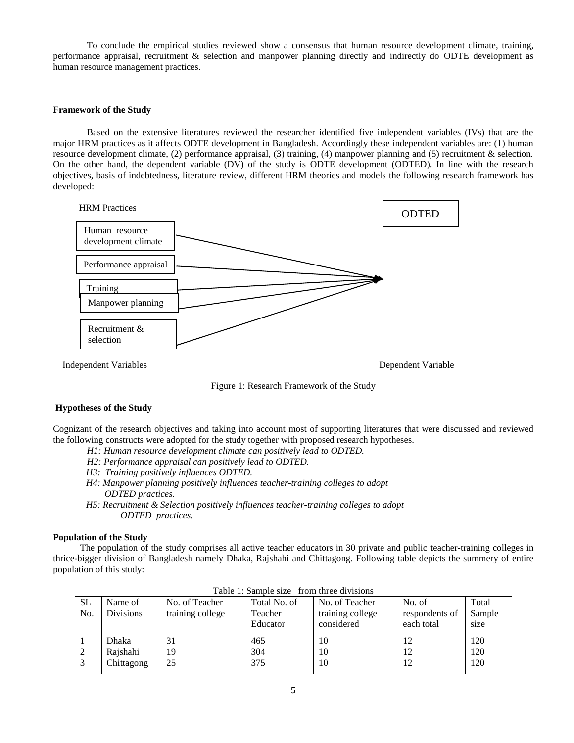To conclude the empirical studies reviewed show a consensus that human resource development climate, training, performance appraisal, recruitment & selection and manpower planning directly and indirectly do ODTE development as human resource management practices.

## **Framework of the Study**

Based on the extensive literatures reviewed the researcher identified five independent variables (IVs) that are the major HRM practices as it affects ODTE development in Bangladesh. Accordingly these independent variables are: (1) human resource development climate, (2) performance appraisal, (3) training, (4) manpower planning and (5) recruitment & selection. On the other hand, the dependent variable (DV) of the study is ODTE development (ODTED). In line with the research objectives, basis of indebtedness, literature review, different HRM theories and models the following research framework has developed:



Figure 1: Research Framework of the Study

## **Hypotheses of the Study**

Cognizant of the research objectives and taking into account most of supporting literatures that were discussed and reviewed the following constructs were adopted for the study together with proposed research hypotheses.

- *H1: Human resource development climate can positively lead to ODTED.*
- *H2: Performance appraisal can positively lead to ODTED.*
- *H3: Training positively influences ODTED.*
- *H4: Manpower planning positively influences teacher-training colleges to adopt ODTED practices.*
- *H5: Recruitment & Selection positively influences teacher-training colleges to adopt ODTED practices.*

## **Population of the Study**

The population of the study comprises all active teacher educators in 30 private and public teacher-training colleges in thrice-bigger division of Bangladesh namely Dhaka, Rajshahi and Chittagong. Following table depicts the summery of entire population of this study:

| SL<br>No. | Name of<br><b>Divisions</b> | No. of Teacher<br>training college | Total No. of<br>Teacher<br>Educator | No. of Teacher<br>training college<br>considered | No. of<br>respondents of<br>each total | Total<br>Sample<br>size |
|-----------|-----------------------------|------------------------------------|-------------------------------------|--------------------------------------------------|----------------------------------------|-------------------------|
|           | Dhaka                       | 31                                 | 465                                 | 10                                               |                                        | 120                     |
|           | Rajshahi                    | 19                                 | 304                                 | 10                                               | 12                                     | 120                     |
|           | Chittagong                  | 25                                 | 375                                 | 10                                               | 12                                     | 120                     |

Table 1: Sample size from three divisions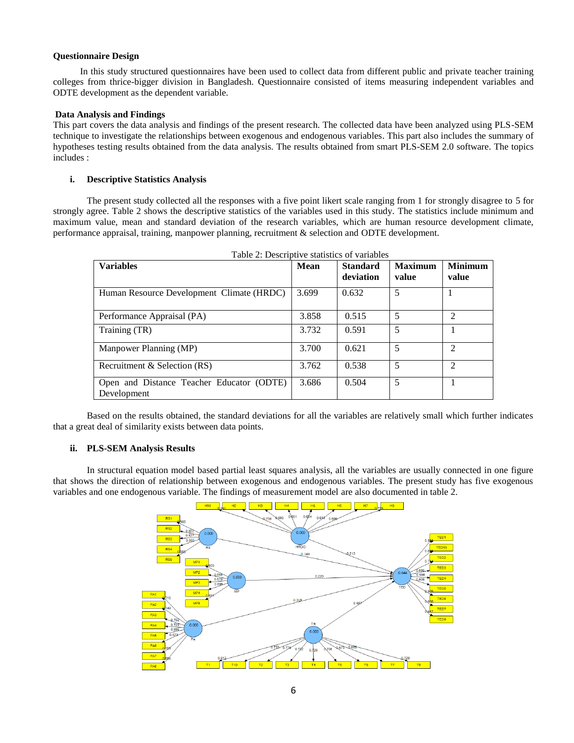## **Questionnaire Design**

In this study structured questionnaires have been used to collect data from different public and private teacher training colleges from thrice-bigger division in Bangladesh. Questionnaire consisted of items measuring independent variables and ODTE development as the dependent variable.

## **Data Analysis and Findings**

This part covers the data analysis and findings of the present research. The collected data have been analyzed using PLS-SEM technique to investigate the relationships between exogenous and endogenous variables. This part also includes the summary of hypotheses testing results obtained from the data analysis. The results obtained from smart PLS-SEM 2.0 software. The topics includes :

# **i. Descriptive Statistics Analysis**

The present study collected all the responses with a five point likert scale ranging from 1 for strongly disagree to 5 for strongly agree. Table 2 shows the descriptive statistics of the variables used in this study. The statistics include minimum and maximum value, mean and standard deviation of the research variables, which are human resource development climate, performance appraisal, training, manpower planning, recruitment & selection and ODTE development.

| Table 2: Descriptive statistics of variables             |       |                              |                         |                             |  |  |
|----------------------------------------------------------|-------|------------------------------|-------------------------|-----------------------------|--|--|
| <b>Variables</b>                                         | Mean  | <b>Standard</b><br>deviation | <b>Maximum</b><br>value | <b>Minimum</b><br>value     |  |  |
| Human Resource Development Climate (HRDC)                | 3.699 | 0.632                        | 5                       |                             |  |  |
| Performance Appraisal (PA)                               | 3.858 | 0.515                        | 5                       | $\mathcal{L}$               |  |  |
| Training (TR)                                            | 3.732 | 0.591                        | 5                       |                             |  |  |
| Manpower Planning (MP)                                   | 3.700 | 0.621                        | 5                       | $\mathcal{D}_{\mathcal{L}}$ |  |  |
| Recruitment & Selection (RS)                             | 3.762 | 0.538                        | 5                       | $\mathfrak{D}$              |  |  |
| Open and Distance Teacher Educator (ODTE)<br>Development | 3.686 | 0.504                        | 5                       |                             |  |  |

Based on the results obtained, the standard deviations for all the variables are relatively small which further indicates that a great deal of similarity exists between data points.

## **ii. PLS-SEM Analysis Results**

In structural equation model based partial least squares analysis, all the variables are usually connected in one figure that shows the direction of relationship between exogenous and endogenous variables. The present study has five exogenous variables and one endogenous variable. The findings of measurement model are also documented in table 2.

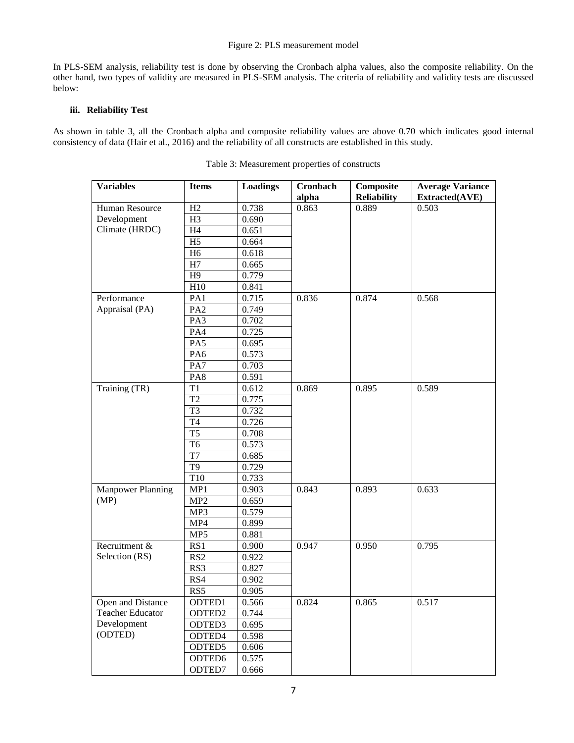# Figure 2: PLS measurement model

In PLS-SEM analysis, reliability test is done by observing the Cronbach alpha values, also the composite reliability. On the other hand, two types of validity are measured in PLS-SEM analysis. The criteria of reliability and validity tests are discussed below:

# **iii. Reliability Test**

As shown in table 3, all the Cronbach alpha and composite reliability values are above 0.70 which indicates good internal consistency of data (Hair et al., 2016) and the reliability of all constructs are established in this study.

| <b>Variables</b>         | <b>Items</b>       | Loadings | Cronbach | Composite          | <b>Average Variance</b> |
|--------------------------|--------------------|----------|----------|--------------------|-------------------------|
|                          |                    |          | alpha    | <b>Reliability</b> | Extracted(AVE)          |
| Human Resource           | H2                 | 0.738    | 0.863    | 0.889              | 0.503                   |
| Development              | H <sub>3</sub>     | 0.690    |          |                    |                         |
| Climate (HRDC)           | H <sub>4</sub>     | 0.651    |          |                    |                         |
|                          | H <sub>5</sub>     | 0.664    |          |                    |                         |
|                          | H <sub>6</sub>     | 0.618    |          |                    |                         |
|                          | H7                 | 0.665    |          |                    |                         |
|                          | H9                 | 0.779    |          |                    |                         |
|                          | H10                | 0.841    |          |                    |                         |
| Performance              | PA1                | 0.715    | 0.836    | 0.874              | 0.568                   |
| Appraisal (PA)           | PA <sub>2</sub>    | 0.749    |          |                    |                         |
|                          | PA3                | 0.702    |          |                    |                         |
|                          | PA4                | 0.725    |          |                    |                         |
|                          | PA5                | 0.695    |          |                    |                         |
|                          | PA <sub>6</sub>    | 0.573    |          |                    |                         |
|                          | PA7                | 0.703    |          |                    |                         |
|                          | PA8                | 0.591    |          |                    |                         |
| Training (TR)            | T <sub>1</sub>     | 0.612    | 0.869    | 0.895              | 0.589                   |
|                          | T <sub>2</sub>     | 0.775    |          |                    |                         |
|                          | T <sub>3</sub>     | 0.732    |          |                    |                         |
|                          | <b>T4</b>          | 0.726    |          |                    |                         |
|                          | T <sub>5</sub>     | 0.708    |          |                    |                         |
|                          | T <sub>6</sub>     | 0.573    |          |                    |                         |
|                          | T7                 | 0.685    |          |                    |                         |
|                          | T <sub>9</sub>     | 0.729    |          |                    |                         |
|                          | T10                | 0.733    |          |                    |                         |
| <b>Manpower Planning</b> | MP1                | 0.903    | 0.843    | 0.893              | 0.633                   |
| (MP)                     | MP <sub>2</sub>    | 0.659    |          |                    |                         |
|                          | MP3                | 0.579    |          |                    |                         |
|                          | MP4                | 0.899    |          |                    |                         |
|                          | MP5                | 0.881    |          |                    |                         |
| Recruitment &            | RS1                | 0.900    | 0.947    | 0.950              | 0.795                   |
| Selection (RS)           | RS <sub>2</sub>    | 0.922    |          |                    |                         |
|                          | RS3                | 0.827    |          |                    |                         |
|                          | RS4                | 0.902    |          |                    |                         |
|                          | RS5                | 0.905    |          |                    |                         |
| Open and Distance        | ODTED1             | 0.566    | 0.824    | 0.865              | 0.517                   |
| <b>Teacher Educator</b>  | ODTED <sub>2</sub> | 0.744    |          |                    |                         |
| Development              | ODTED3             | 0.695    |          |                    |                         |
| (ODTED)                  | ODTED4             | 0.598    |          |                    |                         |
|                          | ODTED5             | 0.606    |          |                    |                         |
|                          | ODTED6             | 0.575    |          |                    |                         |
|                          | ODTED7             | 0.666    |          |                    |                         |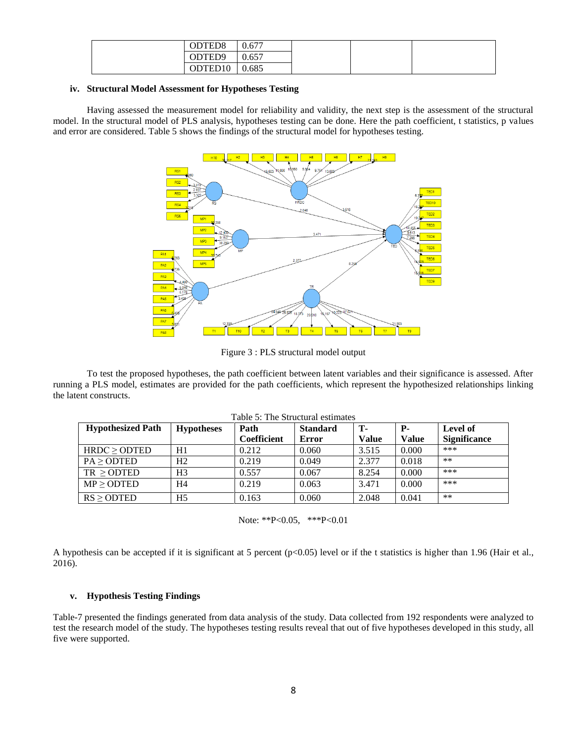| ODTED <sub>8</sub>  | 0.677 |
|---------------------|-------|
| ODTED <sub>9</sub>  | 0.657 |
| ODTED <sub>10</sub> | 0.685 |

# **iv. Structural Model Assessment for Hypotheses Testing**

Having assessed the measurement model for reliability and validity, the next step is the assessment of the structural model. In the structural model of PLS analysis, hypotheses testing can be done. Here the path coefficient, t statistics, p values and error are considered. Table 5 shows the findings of the structural model for hypotheses testing.



Figure 3 : PLS structural model output

To test the proposed hypotheses, the path coefficient between latent variables and their significance is assessed. After running a PLS model, estimates are provided for the path coefficients, which represent the hypothesized relationships linking the latent constructs.

| Table 5: The Structural estimates |                   |                    |                 |              |            |                     |  |
|-----------------------------------|-------------------|--------------------|-----------------|--------------|------------|---------------------|--|
| <b>Hypothesized Path</b>          | <b>Hypotheses</b> | Path               | <b>Standard</b> | <b>T</b> -   | <b>P</b> - | Level of            |  |
|                                   |                   | <b>Coefficient</b> | Error           | <b>Value</b> | Value      | <b>Significance</b> |  |
| $HRDC \geq OPTED$                 | H1                | 0.212              | 0.060           | 3.515        | 0.000      | ***                 |  |
| PA > ODTED                        | H <sub>2</sub>    | 0.219              | 0.049           | 2.377        | 0.018      | $**$                |  |
| $TR \geq$ ODTED                   | H3                | 0.557              | 0.067           | 8.254        | 0.000      | ***                 |  |
| MP > ODTED                        | H4                | 0.219              | 0.063           | 3.471        | 0.000      | ***                 |  |
| RS > ODTED                        | H <sub>5</sub>    | 0.163              | 0.060           | 2.048        | 0.041      | $**$                |  |

Note: \*\*P<0.05, \*\*\*P<0.01

A hypothesis can be accepted if it is significant at 5 percent (p<0.05) level or if the t statistics is higher than 1.96 (Hair et al., 2016).

## **v. Hypothesis Testing Findings**

Table-7 presented the findings generated from data analysis of the study. Data collected from 192 respondents were analyzed to test the research model of the study. The hypotheses testing results reveal that out of five hypotheses developed in this study, all five were supported.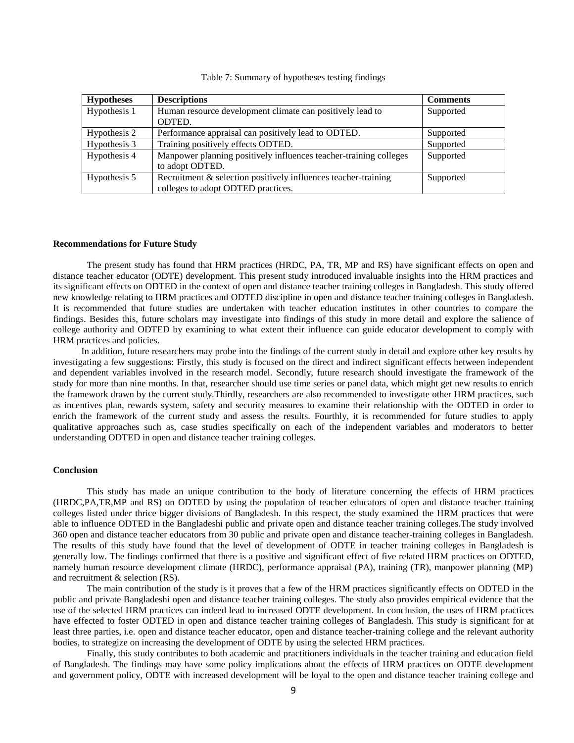| <b>Hypotheses</b> | <b>Descriptions</b>                                               | <b>Comments</b> |
|-------------------|-------------------------------------------------------------------|-----------------|
| Hypothesis 1      | Human resource development climate can positively lead to         | Supported       |
|                   | ODTED.                                                            |                 |
| Hypothesis 2      | Performance appraisal can positively lead to ODTED.               | Supported       |
| Hypothesis 3      | Training positively effects ODTED.                                | Supported       |
| Hypothesis 4      | Manpower planning positively influences teacher-training colleges | Supported       |
|                   | to adopt ODTED.                                                   |                 |
| Hypothesis 5      | Recruitment & selection positively influences teacher-training    | Supported       |
|                   | colleges to adopt ODTED practices.                                |                 |

Table 7: Summary of hypotheses testing findings

#### **Recommendations for Future Study**

The present study has found that HRM practices (HRDC, PA, TR, MP and RS) have significant effects on open and distance teacher educator (ODTE) development. This present study introduced invaluable insights into the HRM practices and its significant effects on ODTED in the context of open and distance teacher training colleges in Bangladesh. This study offered new knowledge relating to HRM practices and ODTED discipline in open and distance teacher training colleges in Bangladesh. It is recommended that future studies are undertaken with teacher education institutes in other countries to compare the findings. Besides this, future scholars may investigate into findings of this study in more detail and explore the salience of college authority and ODTED by examining to what extent their influence can guide educator development to comply with HRM practices and policies.

 In addition, future researchers may probe into the findings of the current study in detail and explore other key results by investigating a few suggestions: Firstly, this study is focused on the direct and indirect significant effects between independent and dependent variables involved in the research model. Secondly, future research should investigate the framework of the study for more than nine months. In that, researcher should use time series or panel data, which might get new results to enrich the framework drawn by the current study.Thirdly, researchers are also recommended to investigate other HRM practices, such as incentives plan, rewards system, safety and security measures to examine their relationship with the ODTED in order to enrich the framework of the current study and assess the results. Fourthly, it is recommended for future studies to apply qualitative approaches such as, case studies specifically on each of the independent variables and moderators to better understanding ODTED in open and distance teacher training colleges.

#### **Conclusion**

This study has made an unique contribution to the body of literature concerning the effects of HRM practices (HRDC,PA,TR,MP and RS) on ODTED by using the population of teacher educators of open and distance teacher training colleges listed under thrice bigger divisions of Bangladesh. In this respect, the study examined the HRM practices that were able to influence ODTED in the Bangladeshi public and private open and distance teacher training colleges.The study involved 360 open and distance teacher educators from 30 public and private open and distance teacher-training colleges in Bangladesh. The results of this study have found that the level of development of ODTE in teacher training colleges in Bangladesh is generally low. The findings confirmed that there is a positive and significant effect of five related HRM practices on ODTED, namely human resource development climate (HRDC), performance appraisal (PA), training (TR), manpower planning (MP) and recruitment & selection (RS).

The main contribution of the study is it proves that a few of the HRM practices significantly effects on ODTED in the public and private Bangladeshi open and distance teacher training colleges. The study also provides empirical evidence that the use of the selected HRM practices can indeed lead to increased ODTE development. In conclusion, the uses of HRM practices have effected to foster ODTED in open and distance teacher training colleges of Bangladesh. This study is significant for at least three parties, i.e. open and distance teacher educator, open and distance teacher-training college and the relevant authority bodies, to strategize on increasing the development of ODTE by using the selected HRM practices.

Finally, this study contributes to both academic and practitioners individuals in the teacher training and education field of Bangladesh. The findings may have some policy implications about the effects of HRM practices on ODTE development and government policy, ODTE with increased development will be loyal to the open and distance teacher training college and